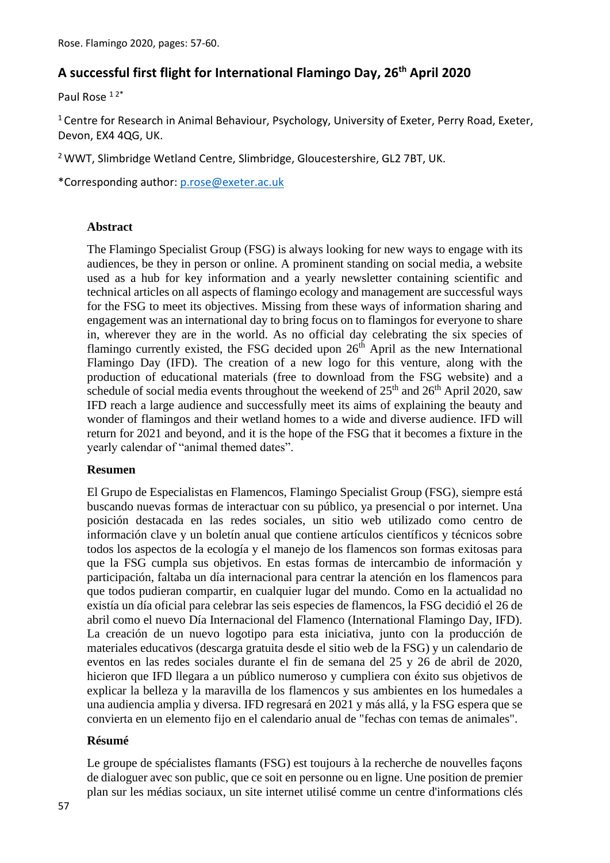# **A successful first flight for International Flamingo Day, 26th April 2020**

Paul Rose<sup>12\*</sup>

<sup>1</sup> Centre for Research in Animal Behaviour, Psychology, University of Exeter, Perry Road, Exeter, Devon, EX4 4QG, UK.

<sup>2</sup> WWT, Slimbridge Wetland Centre, Slimbridge, Gloucestershire, GL2 7BT, UK.

\*Corresponding author: [p.rose@exeter.ac.uk](mailto:rtorres44@gmail.com)

## **Abstract**

The Flamingo Specialist Group (FSG) is always looking for new ways to engage with its audiences, be they in person or online. A prominent standing on social media, a website used as a hub for key information and a yearly newsletter containing scientific and technical articles on all aspects of flamingo ecology and management are successful ways for the FSG to meet its objectives. Missing from these ways of information sharing and engagement was an international day to bring focus on to flamingos for everyone to share in, wherever they are in the world. As no official day celebrating the six species of flamingo currently existed, the FSG decided upon  $26<sup>th</sup>$  April as the new International Flamingo Day (IFD). The creation of a new logo for this venture, along with the production of educational materials (free to download from the FSG website) and a schedule of social media events throughout the weekend of  $25<sup>th</sup>$  and  $26<sup>th</sup>$  April 2020, saw IFD reach a large audience and successfully meet its aims of explaining the beauty and wonder of flamingos and their wetland homes to a wide and diverse audience. IFD will return for 2021 and beyond, and it is the hope of the FSG that it becomes a fixture in the yearly calendar of "animal themed dates".

## **Resumen**

El Grupo de Especialistas en Flamencos, Flamingo Specialist Group (FSG), siempre está buscando nuevas formas de interactuar con su público, ya presencial o por internet. Una posición destacada en las redes sociales, un sitio web utilizado como centro de información clave y un boletín anual que contiene artículos científicos y técnicos sobre todos los aspectos de la ecología y el manejo de los flamencos son formas exitosas para que la FSG cumpla sus objetivos. En estas formas de intercambio de información y participación, faltaba un día internacional para centrar la atención en los flamencos para que todos pudieran compartir, en cualquier lugar del mundo. Como en la actualidad no existía un día oficial para celebrar las seis especies de flamencos, la FSG decidió el 26 de abril como el nuevo Día Internacional del Flamenco (International Flamingo Day, IFD). La creación de un nuevo logotipo para esta iniciativa, junto con la producción de materiales educativos (descarga gratuita desde el sitio web de la FSG) y un calendario de eventos en las redes sociales durante el fin de semana del 25 y 26 de abril de 2020, hicieron que IFD llegara a un público numeroso y cumpliera con éxito sus objetivos de explicar la belleza y la maravilla de los flamencos y sus ambientes en los humedales a una audiencia amplia y diversa. IFD regresará en 2021 y más allá, y la FSG espera que se convierta en un elemento fijo en el calendario anual de "fechas con temas de animales".

## **Résumé**

Le groupe de spécialistes flamants (FSG) est toujours à la recherche de nouvelles façons de dialoguer avec son public, que ce soit en personne ou en ligne. Une position de premier plan sur les médias sociaux, un site internet utilisé comme un centre d'informations clés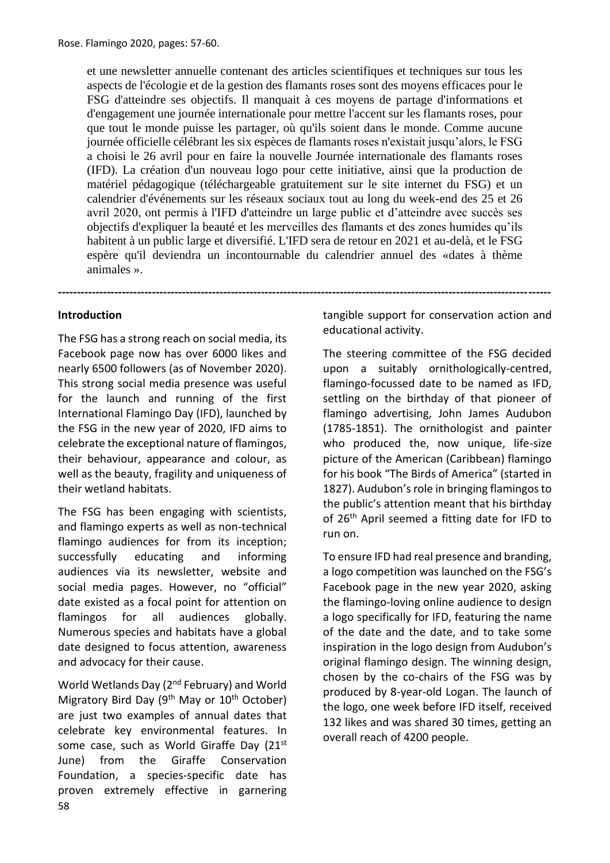et une newsletter annuelle contenant des articles scientifiques et techniques sur tous les aspects de l'écologie et de la gestion des flamants roses sont des moyens efficaces pour le FSG d'atteindre ses objectifs. Il manquait à ces moyens de partage d'informations et d'engagement une journée internationale pour mettre l'accent sur les flamants roses, pour que tout le monde puisse les partager, où qu'ils soient dans le monde. Comme aucune journée officielle célébrant les six espèces de flamants roses n'existait jusqu'alors, le FSG a choisi le 26 avril pour en faire la nouvelle Journée internationale des flamants roses (IFD). La création d'un nouveau logo pour cette initiative, ainsi que la production de matériel pédagogique (téléchargeable gratuitement sur le site internet du FSG) et un calendrier d'événements sur les réseaux sociaux tout au long du week-end des 25 et 26 avril 2020, ont permis à l'IFD d'atteindre un large public et d'atteindre avec succès ses objectifs d'expliquer la beauté et les merveilles des flamants et des zones humides qu'ils habitent à un public large et diversifié. L'IFD sera de retour en 2021 et au-delà, et le FSG espère qu'il deviendra un incontournable du calendrier annuel des «dates à thème animales ».

**-----------------------------------------------------------------------------------------------------------------------------------**

## **Introduction**

The FSG has a strong reach on social media, its Facebook page now has over 6000 likes and nearly 6500 followers (as of November 2020). This strong social media presence was useful for the launch and running of the first International Flamingo Day (IFD), launched by the FSG in the new year of 2020, IFD aims to celebrate the exceptional nature of flamingos, their behaviour, appearance and colour, as well as the beauty, fragility and uniqueness of their wetland habitats.

The FSG has been engaging with scientists, and flamingo experts as well as non-technical flamingo audiences for from its inception; successfully educating and informing audiences via its newsletter, website and social media pages. However, no "official" date existed as a focal point for attention on flamingos for all audiences globally. Numerous species and habitats have a global date designed to focus attention, awareness and advocacy for their cause.

58 World Wetlands Day (2nd February) and World Migratory Bird Day (9<sup>th</sup> May or 10<sup>th</sup> October) are just two examples of annual dates that celebrate key environmental features. In some case, such as World Giraffe Day (21st June) from the Giraffe Conservation Foundation, a species-specific date has proven extremely effective in garnering tangible support for conservation action and educational activity.

The steering committee of the FSG decided upon a suitably ornithologically-centred, flamingo-focussed date to be named as IFD, settling on the birthday of that pioneer of flamingo advertising, John James Audubon (1785-1851). The ornithologist and painter who produced the, now unique, life-size picture of the American (Caribbean) flamingo for his book "The Birds of America" (started in 1827). Audubon's role in bringing flamingos to the public's attention meant that his birthday of 26<sup>th</sup> April seemed a fitting date for IFD to run on.

To ensure IFD had real presence and branding, a logo competition was launched on the FSG's Facebook page in the new year 2020, asking the flamingo-loving online audience to design a logo specifically for IFD, featuring the name of the date and the date, and to take some inspiration in the logo design from Audubon's original flamingo design. The winning design, chosen by the co-chairs of the FSG was by produced by 8-year-old Logan. The launch of the logo, one week before IFD itself, received 132 likes and was shared 30 times, getting an overall reach of 4200 people.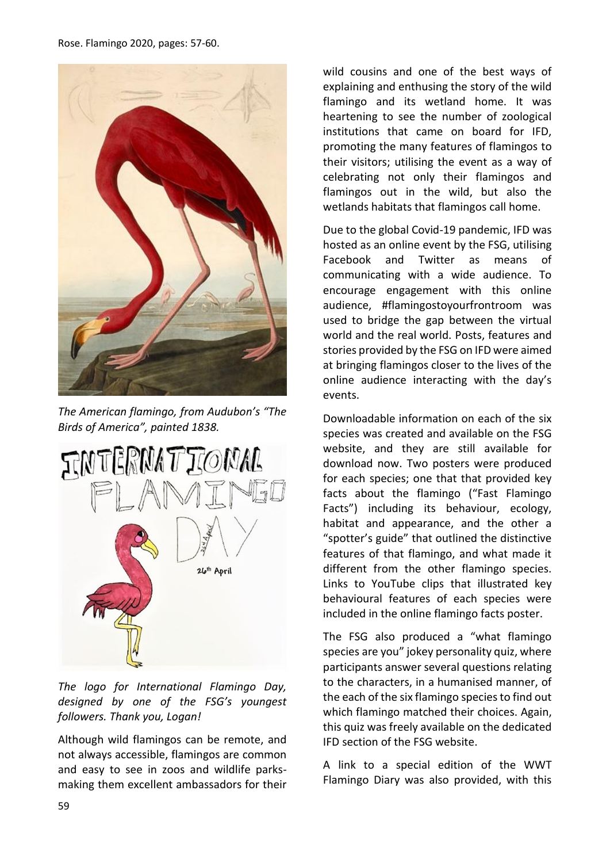

*The American flamingo, from Audubon's "The Birds of America", painted 1838.*



*The logo for International Flamingo Day, designed by one of the FSG's youngest followers. Thank you, Logan!*

Although wild flamingos can be remote, and not always accessible, flamingos are common and easy to see in zoos and wildlife parksmaking them excellent ambassadors for their wild cousins and one of the best ways of explaining and enthusing the story of the wild flamingo and its wetland home. It was heartening to see the number of zoological institutions that came on board for IFD, promoting the many features of flamingos to their visitors; utilising the event as a way of celebrating not only their flamingos and flamingos out in the wild, but also the wetlands habitats that flamingos call home.

Due to the global Covid-19 pandemic, IFD was hosted as an online event by the FSG, utilising Facebook and Twitter as means of communicating with a wide audience. To encourage engagement with this online audience, #flamingostoyourfrontroom was used to bridge the gap between the virtual world and the real world. Posts, features and stories provided by the FSG on IFD were aimed at bringing flamingos closer to the lives of the online audience interacting with the day's events.

Downloadable information on each of the six species was created and available on the FSG website, and they are still available for download now. Two posters were produced for each species; one that that provided key facts about the flamingo ("Fast Flamingo Facts") including its behaviour, ecology, habitat and appearance, and the other a "spotter's guide" that outlined the distinctive features of that flamingo, and what made it different from the other flamingo species. Links to YouTube clips that illustrated key behavioural features of each species were included in the online flamingo facts poster.

The FSG also produced a "what flamingo species are you" jokey personality quiz, where participants answer several questions relating to the characters, in a humanised manner, of the each of the six flamingo species to find out which flamingo matched their choices. Again, this quiz was freely available on the dedicated IFD section of the FSG website.

A link to a special edition of the WWT Flamingo Diary was also provided, with this